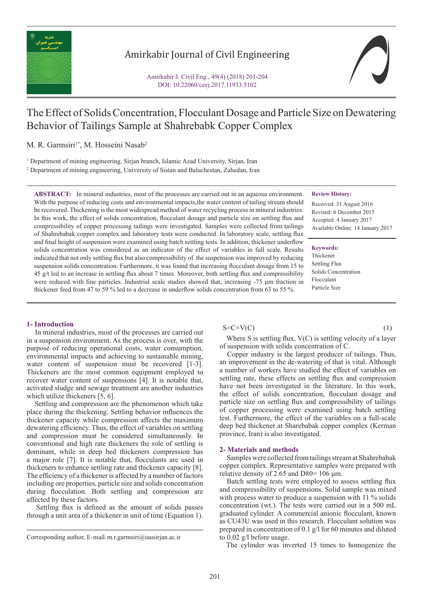

## Amirkabir Journal of Civil Engineering

Amirkabir J. Civil Eng., 49(4) (2018) 201-204 DOI: 10.22060/ceej.2017.11933.5102

# The Effect of Solids Concentration, Flocculant Dosage and Particle Size on Dewatering Behavior of Tailings Sample at Shahrebabk Copper Complex

M. R. Garmsiri<sup>1\*</sup>, M. Hosseini Nasab<sup>2</sup>

<sup>1</sup> Department of mining engineering, Sirjan branch, Islamic Azad University, Sirjan, Iran 2 Department of mining engineering, University of Sistan and Baluchestan, Zahedan, Iran

**ABSTRACT:** In mineral industries, most of the processes are carried out in an aqueous environment. With the purpose of reducing costs and environmental impacts,the water content of tailing stream should be recovered. Thickening is the most widespread method of water recycling process in mineral industries. In this work, the effect of solids concentration, flocculant dosage and particle size on settling flux and compressibility of copper processing tailings were investigated. Samples were collected from tailings of Shahrebabak copper complex and laboratory tests were conducted. In laboratory scale, settling flux and final height of suspension were examined using batch settling tests. In addition, thickener underflow solids concentration was considered as an indicator of the effect of variables in full scale. Results indicated that not only settling flux but also compressibility of the suspension was improved by reducing suspension solids concentration. Furthermore, it was found that increasing flocculant dosage from 15 to 45 g/t led to an increase in settling flux about 7 times. Moreover, both settling flux and compressibility were reduced with fine particles. Industrial scale studies showed that, increasing -75 μm fraction in thickener feed from 47 to 59 % led to a decrease in underflow solids concentration from 63 to 55 %.

### **Review History:**

Received: 31 August 2016 Revised: 6 December 2015 Accepted: 4 January 2017 Available Online: 14 January 2017

## **Keywords:**

Thickener Settling Flux Solids Concentration Flocculant Particle Size

### **1- Introduction**

 In mineral industries, most of the processes are carried out in a suspension environment. As the process is over, with the purpose of reducing operational costs, water consumption, environmental impacts and achieving to sustainable mining, water content of suspension must be recovered [1-3]. Thickeners are the most common equipment employed to recover water content of suspensions [4]. It is notable that, activated sludge and sewage treatment are another industries which utilize thickeners [5, 6].

 Settling and compression are the phenomenon which take place during the thickening. Settling behavior influences the thickener capacity while compression affects the maximum dewatering efficiency. Thus, the effect of variables on settling and compression must be considered simultaneously. In conventional and high rate thickeners the role of settling is dominant, while in deep bed thickeners compression has a major role [7]. It is notable that, flocculants are used in thickeners to enhance settling rate and thickener capacity [8]. The efficiency of a thickener is affected by a number of factors including ore properties, particle size and solids concentration during flocculation. Both settling and compression are affected by these factors.

 Settling flux is defined as the amount of solids passes through a unit area of a thickener in unit of time (Equation 1).

### $S=C\times V(C)$  (1)

Where S is settling flux, V(C) is settling velocity of a layer of suspension with solids concentration of C.

 Copper industry is the largest producer of tailings. Thus, an improvement in the de-watering of that is vital. Although a number of workers have studied the effect of variables on settling rate, these effects on settling flux and compression have not been investigated in the literature. In this work, the effect of solids concentration, flocculant dosage and particle size on settling flux and compressibility of tailings of copper processing were examined using batch settling test. Furthermore, the effect of the variables on a full-scale deep bed thickener at Sharebabak copper complex (Kerman province, Iran) is also investigated.

#### **2- Materials and methods**

 Samples were collected from tailings stream at Shahrebabak copper complex. Representative samples were prepared with relative density of 2.65 and D80=  $106 \mu m$ .

 Batch settling tests were employed to assess settling flux and compressibility of suspensions. Solid sample was mixed with process water to produce a suspension with 11 % solids concentration (wt.). The tests were carried out in a 500 mL graduated cylinder. A commercial anionic flocculant, known as CU43U was used in this research. Flocculant solution was prepared in concentration of 0.1 g/l for 60 minutes and diluted to 0.02 g/l before usage.

The cylinder was inverted 15 times to homogenize the

Corresponding author, E-mail: m.r.garmsiri@iausirjan.ac.ir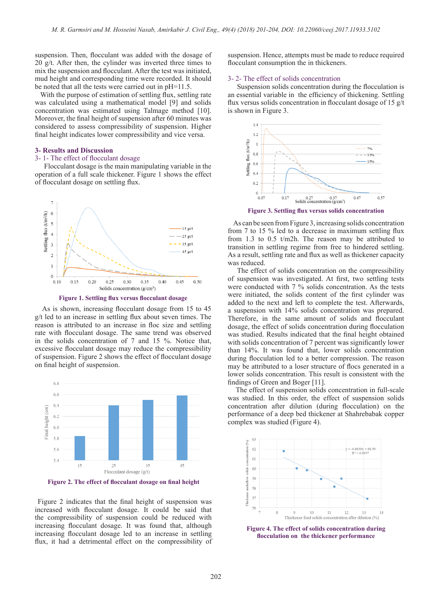suspension. Then, flocculant was added with the dosage of 20  $g/t$ . After then, the cylinder was inverted three times to mix the suspension and flocculant. After the test was initiated, mud height and corresponding time were recorded. It should be noted that all the tests were carried out in pH=11.5.

With the purpose of estimation of settling flux, settling rate was calculated using a mathematical model [9] and solids concentration was estimated using Talmage method [10]. Moreover, the final height of suspension after 60 minutes was considered to assess compressibility of suspension. Higher final height indicates lower compressibility and vice versa.

## **3- Results and Discussion**

## 3- 1- The effect of flocculant dosage

 Flocculant dosage is the main manipulating variable in the operation of a full scale thickener. Figure 1 shows the effect of flocculant dosage on settling flux.



**Figure 1. Settling flux versus flocculant dosage**

 As is shown, increasing flocculant dosage from 15 to 45 g/t led to an increase in settling flux about seven times. The reason is attributed to an increase in floc size and settling rate with flocculant dosage. The same trend was observed in the solids concentration of 7 and 15 %. Notice that, excessive flocculant dosage may reduce the compressibility of suspension. Figure 2 shows the effect of flocculant dosage on final height of suspension.



**Figure 2. The effect of flocculant dosage on final height**

 Figure 2 indicates that the final height of suspension was increased with flocculant dosage. It could be said that the compressibility of suspension could be reduced with increasing flocculant dosage. It was found that, although increasing flocculant dosage led to an increase in settling flux, it had a detrimental effect on the compressibility of suspension. Hence, attempts must be made to reduce required flocculant consumption the in thickeners.

#### 3- 2- The effect of solids concentration

 Suspension solids concentration during the flocculation is an essential variable in the efficiency of thickening. Settling flux versus solids concentration in flocculant dosage of 15 g/t is shown in Figure 3.



**Figure 3. Settling flux versus solids concentration**

 As can be seen from Figure 3, increasing solids concentration from 7 to 15 % led to a decrease in maximum settling flux from 1.3 to 0.5 t/m2h. The reason may be attributed to transition in settling regime from free to hindered settling. As a result, settling rate and flux as well as thickener capacity was reduced.

 The effect of solids concentration on the compressibility of suspension was investigated. At first, two settling tests were conducted with 7 % solids concentration. As the tests were initiated, the solids content of the first cylinder was added to the next and left to complete the test. Afterwards, a suspension with 14% solids concentration was prepared. Therefore, in the same amount of solids and flocculant dosage, the effect of solids concentration during flocculation was studied. Results indicated that the final height obtained with solids concentration of 7 percent was significantly lower than 14%. It was found that, lower solids concentration during flocculation led to a better compression. The reason may be attributed to a loser structure of flocs generated in a lower solids concentration. This result is consistent with the findings of Green and Boger [11].

 The effect of suspension solids concentration in full-scale was studied. In this order, the effect of suspension solids concentration after dilution (during flocculation) on the performance of a deep bed thickener at Shahrebabak copper complex was studied (Figure 4).



**Figure 4. The effect of solids concentration during flocculation on the thickener performance**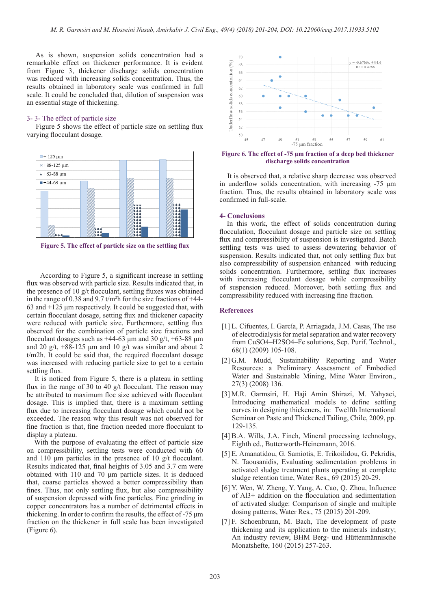As is shown, suspension solids concentration had a remarkable effect on thickener performance. It is evident from Figure 3, thickener discharge solids concentration was reduced with increasing solids concentration. Thus, the results obtained in laboratory scale was confirmed in full scale. It could be concluded that, dilution of suspension was an essential stage of thickening.

#### 3- 3- The effect of particle size

 Figure 5 shows the effect of particle size on settling flux varying flocculant dosage.



**Figure 5. The effect of particle size on the settling flux**

 According to Figure 5, a significant increase in settling flux was observed with particle size. Results indicated that, in the presence of 10 g/t flocculant, settling fluxes was obtained in the range of 0.38 and 9.7  $t/m<sup>2</sup>$ h for the size fractions of +44-63 and +125 μm respectively. It could be suggested that, with certain flocculant dosage, setting flux and thickener capacity were reduced with particle size. Furthermore, settling flux observed for the combination of particle size fractions and flocculant dosages such as  $+44-63$  um and 30 g/t,  $+63-88$  um and 20 g/t,  $+88-125$  µm and 10 g/t was similar and about 2 t/m2h. It could be said that, the required flocculant dosage was increased with reducing particle size to get to a certain settling flux.

 It is noticed from Figure 5, there is a plateau in settling flux in the range of 30 to 40 g/t flocculant. The reason may be attributed to maximum floc size achieved with flocculant dosage. This is implied that, there is a maximum settling flux due to increasing flocculant dosage which could not be exceeded. The reason why this result was not observed for fine fraction is that, fine fraction needed more flocculant to display a plateau.

 With the purpose of evaluating the effect of particle size on compressibility, settling tests were conducted with 60 and 110 μm particles in the presence of 10 g/t flocculant. Results indicated that, final heights of 3.05 and 3.7 cm were obtained with 110 and 70 μm particle sizes. It is deduced that, coarse particles showed a better compressibility than fines. Thus, not only settling flux, but also compressibility of suspension depressed with fine particles. Fine grinding in copper concentrators has a number of detrimental effects in thickening. In order to confirm the results, the effect of -75 μm fraction on the thickener in full scale has been investigated (Figure 6).



**Figure 6. The effect of -75 µm fraction of a deep bed thickener discharge solids concentration**

 It is observed that, a relative sharp decrease was observed in underflow solids concentration, with increasing -75 μm fraction. Thus, the results obtained in laboratory scale was confirmed in full-scale.

#### **4- Conclusions**

 In this work, the effect of solids concentration during flocculation, flocculant dosage and particle size on settling flux and compressibility of suspension is investigated. Batch settling tests was used to assess dewatering behavior of suspension. Results indicated that, not only settling flux but also compressibility of suspension enhanced with reducing solids concentration. Furthermore, settling flux increases with increasing flocculant dosage while compressibility of suspension reduced. Moreover, both settling flux and compressibility reduced with increasing fine fraction.

#### **References**

- [1] L. Cifuentes, I. García, P. Arriagada, J.M. Casas, The use of electrodialysis for metal separation and water recovery from CuSO4–H2SO4–Fe solutions, Sep. Purif. Technol., 68(1) (2009) 105-108.
- [2] G.M. Mudd, Sustainability Reporting and Water Resources: a Preliminary Assessment of Embodied Water and Sustainable Mining, Mine Water Environ., 27(3) (2008) 136.
- [3] M.R. Garmsiri, H. Haji Amin Shirazi, M. Yahyaei, Introducing mathematical models to define settling curves in designing thickeners, in: Twelfth International Seminar on Paste and Thickened Tailing, Chile, 2009, pp. 129-135.
- [4] B.A. Wills, J.A. Finch, Mineral processing technology, Eighth ed., Butterworth-Heinemann, 2016.
- [5] E. Amanatidou, G. Samiotis, E. Trikoilidou, G. Pekridis, N. Taousanidis, Evaluating sedimentation problems in activated sludge treatment plants operating at complete sludge retention time, Water Res., 69 (2015) 20-29.
- [6] Y. Wen, W. Zheng, Y. Yang, A. Cao, Q. Zhou, Influence of Al3+ addition on the flocculation and sedimentation of activated sludge: Comparison of single and multiple dosing patterns, Water Res., 75 (2015) 201-209.
- [7] F. Schoenbrunn, M. Bach, The development of paste thickening and its application to the minerals industry; An industry review, BHM Berg- und Hüttenmännische Monatshefte, 160 (2015) 257-263.